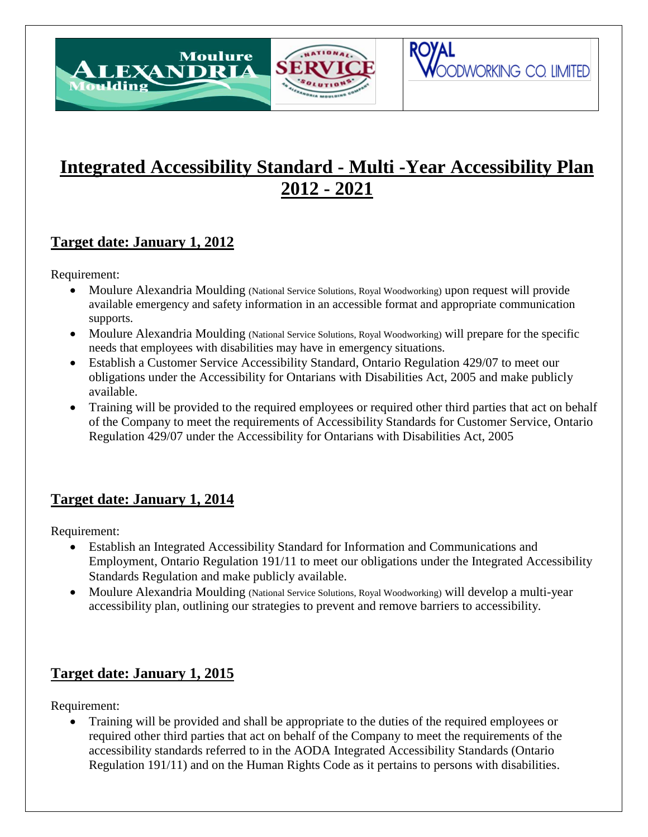

# **Integrated Accessibility Standard - Multi -Year Accessibility Plan 2012 - 2021**

OODWORKING CO. LIMITED

# **Target date: January 1, 2012**

Requirement:

Moulding

- Moulure Alexandria Moulding (National Service Solutions, Royal Woodworking) upon request will provide available emergency and safety information in an accessible format and appropriate communication supports.
- Moulure Alexandria Moulding (National Service Solutions, Royal Woodworking) will prepare for the specific needs that employees with disabilities may have in emergency situations.
- Establish a Customer Service Accessibility Standard, Ontario Regulation 429/07 to meet our obligations under the Accessibility for Ontarians with Disabilities Act, 2005 and make publicly available.
- Training will be provided to the required employees or required other third parties that act on behalf of the Company to meet the requirements of Accessibility Standards for Customer Service, Ontario Regulation 429/07 under the Accessibility for Ontarians with Disabilities Act, 2005

# **Target date: January 1, 2014**

Requirement:

- Establish an Integrated Accessibility Standard for Information and Communications and Employment, Ontario Regulation 191/11 to meet our obligations under the Integrated Accessibility Standards Regulation and make publicly available.
- Moulure Alexandria Moulding (National Service Solutions, Royal Woodworking) will develop a multi-year accessibility plan, outlining our strategies to prevent and remove barriers to accessibility.

### **Target date: January 1, 2015**

Requirement:

 Training will be provided and shall be appropriate to the duties of the required employees or required other third parties that act on behalf of the Company to meet the requirements of the accessibility standards referred to in the AODA Integrated Accessibility Standards (Ontario Regulation 191/11) and on the Human Rights Code as it pertains to persons with disabilities.